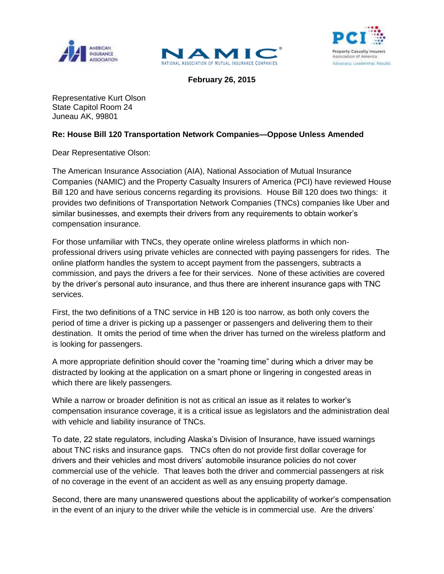





**February 26, 2015**

Representative Kurt Olson State Capitol Room 24 Juneau AK, 99801

## **Re: House Bill 120 Transportation Network Companies—Oppose Unless Amended**

Dear Representative Olson:

The American Insurance Association (AIA), National Association of Mutual Insurance Companies (NAMIC) and the Property Casualty Insurers of America (PCI) have reviewed House Bill 120 and have serious concerns regarding its provisions. House Bill 120 does two things: it provides two definitions of Transportation Network Companies (TNCs) companies like Uber and similar businesses, and exempts their drivers from any requirements to obtain worker's compensation insurance.

For those unfamiliar with TNCs, they operate online wireless platforms in which nonprofessional drivers using private vehicles are connected with paying passengers for rides. The online platform handles the system to accept payment from the passengers, subtracts a commission, and pays the drivers a fee for their services. None of these activities are covered by the driver's personal auto insurance, and thus there are inherent insurance gaps with TNC services.

First, the two definitions of a TNC service in HB 120 is too narrow, as both only covers the period of time a driver is picking up a passenger or passengers and delivering them to their destination. It omits the period of time when the driver has turned on the wireless platform and is looking for passengers.

A more appropriate definition should cover the "roaming time" during which a driver may be distracted by looking at the application on a smart phone or lingering in congested areas in which there are likely passengers.

While a narrow or broader definition is not as critical an issue as it relates to worker's compensation insurance coverage, it is a critical issue as legislators and the administration deal with vehicle and liability insurance of TNCs.

To date, 22 state regulators, including Alaska's Division of Insurance, have issued warnings about TNC risks and insurance gaps. TNCs often do not provide first dollar coverage for drivers and their vehicles and most drivers' automobile insurance policies do not cover commercial use of the vehicle. That leaves both the driver and commercial passengers at risk of no coverage in the event of an accident as well as any ensuing property damage.

Second, there are many unanswered questions about the applicability of worker's compensation in the event of an injury to the driver while the vehicle is in commercial use. Are the drivers'